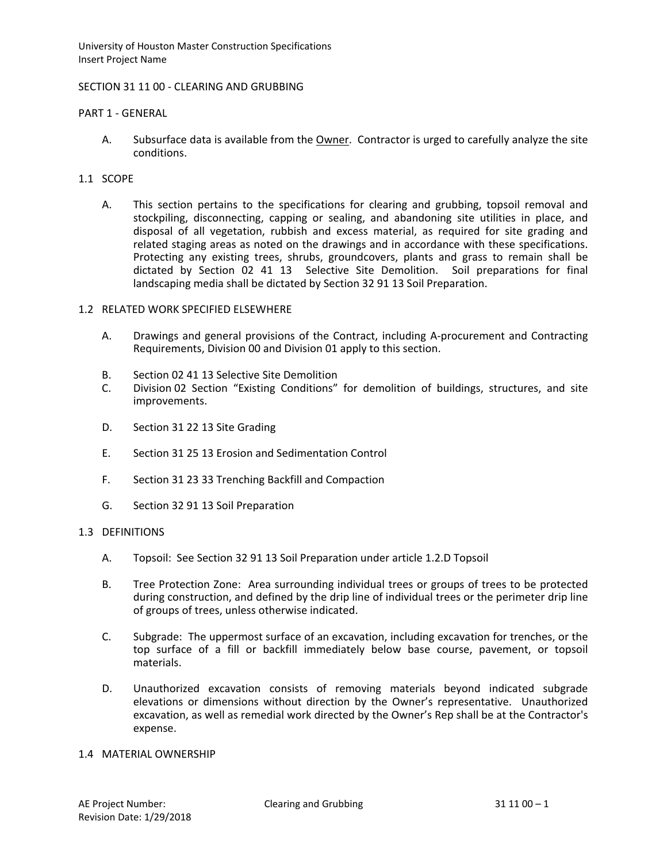### SECTION 31 11 00 - CLEARING AND GRUBBING

### PART 1 - GENERAL

A. Subsurface data is available from the Owner. Contractor is urged to carefully analyze the site conditions.

# 1.1 SCOPE

A. This section pertains to the specifications for clearing and grubbing, topsoil removal and stockpiling, disconnecting, capping or sealing, and abandoning site utilities in place, and disposal of all vegetation, rubbish and excess material, as required for site grading and related staging areas as noted on the drawings and in accordance with these specifications. Protecting any existing trees, shrubs, groundcovers, plants and grass to remain shall be dictated by Section 02 41 13 Selective Site Demolition. Soil preparations for final landscaping media shall be dictated by Section 32 91 13 Soil Preparation.

### 1.2 RELATED WORK SPECIFIED ELSEWHERE

- A. Drawings and general provisions of the Contract, including A-procurement and Contracting Requirements, Division 00 and Division 01 apply to this section.
- B. Section 02 41 13 Selective Site Demolition
- C. Division 02 Section "Existing Conditions" for demolition of buildings, structures, and site improvements.
- D. Section 31 22 13 Site Grading
- E. Section 31 25 13 Erosion and Sedimentation Control
- F. Section 31 23 33 Trenching Backfill and Compaction
- G. Section 32 91 13 Soil Preparation

### 1.3 DEFINITIONS

- A. Topsoil: See Section 32 91 13 Soil Preparation under article 1.2.D Topsoil
- B. Tree Protection Zone: Area surrounding individual trees or groups of trees to be protected during construction, and defined by the drip line of individual trees or the perimeter drip line of groups of trees, unless otherwise indicated.
- C. Subgrade: The uppermost surface of an excavation, including excavation for trenches, or the top surface of a fill or backfill immediately below base course, pavement, or topsoil materials.
- D. Unauthorized excavation consists of removing materials beyond indicated subgrade elevations or dimensions without direction by the Owner's representative. Unauthorized excavation, as well as remedial work directed by the Owner's Rep shall be at the Contractor's expense.

## 1.4 MATERIAL OWNERSHIP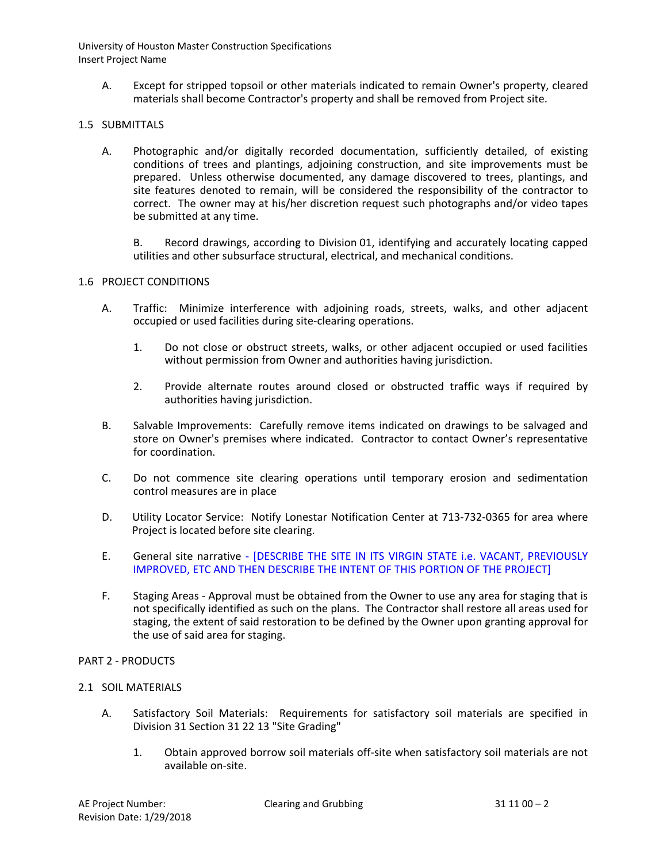A. Except for stripped topsoil or other materials indicated to remain Owner's property, cleared materials shall become Contractor's property and shall be removed from Project site.

## 1.5 SUBMITTALS

A. Photographic and/or digitally recorded documentation, sufficiently detailed, of existing conditions of trees and plantings, adjoining construction, and site improvements must be prepared. Unless otherwise documented, any damage discovered to trees, plantings, and site features denoted to remain, will be considered the responsibility of the contractor to correct. The owner may at his/her discretion request such photographs and/or video tapes be submitted at any time.

B. Record drawings, according to Division 01, identifying and accurately locating capped utilities and other subsurface structural, electrical, and mechanical conditions.

### 1.6 PROJECT CONDITIONS

- A. Traffic: Minimize interference with adjoining roads, streets, walks, and other adjacent occupied or used facilities during site-clearing operations.
	- 1. Do not close or obstruct streets, walks, or other adjacent occupied or used facilities without permission from Owner and authorities having jurisdiction.
	- 2. Provide alternate routes around closed or obstructed traffic ways if required by authorities having jurisdiction.
- B. Salvable Improvements: Carefully remove items indicated on drawings to be salvaged and store on Owner's premises where indicated. Contractor to contact Owner's representative for coordination.
- C. Do not commence site clearing operations until temporary erosion and sedimentation control measures are in place
- D. Utility Locator Service: Notify Lonestar Notification Center at 713-732-0365 for area where Project is located before site clearing.
- E. General site narrative [DESCRIBE THE SITE IN ITS VIRGIN STATE i.e. VACANT, PREVIOUSLY IMPROVED, ETC AND THEN DESCRIBE THE INTENT OF THIS PORTION OF THE PROJECT]
- F. Staging Areas Approval must be obtained from the Owner to use any area for staging that is not specifically identified as such on the plans. The Contractor shall restore all areas used for staging, the extent of said restoration to be defined by the Owner upon granting approval for the use of said area for staging.

### PART 2 - PRODUCTS

### 2.1 SOIL MATERIALS

- A. Satisfactory Soil Materials: Requirements for satisfactory soil materials are specified in Division 31 Section 31 22 13 "Site Grading"
	- 1. Obtain approved borrow soil materials off-site when satisfactory soil materials are not available on-site.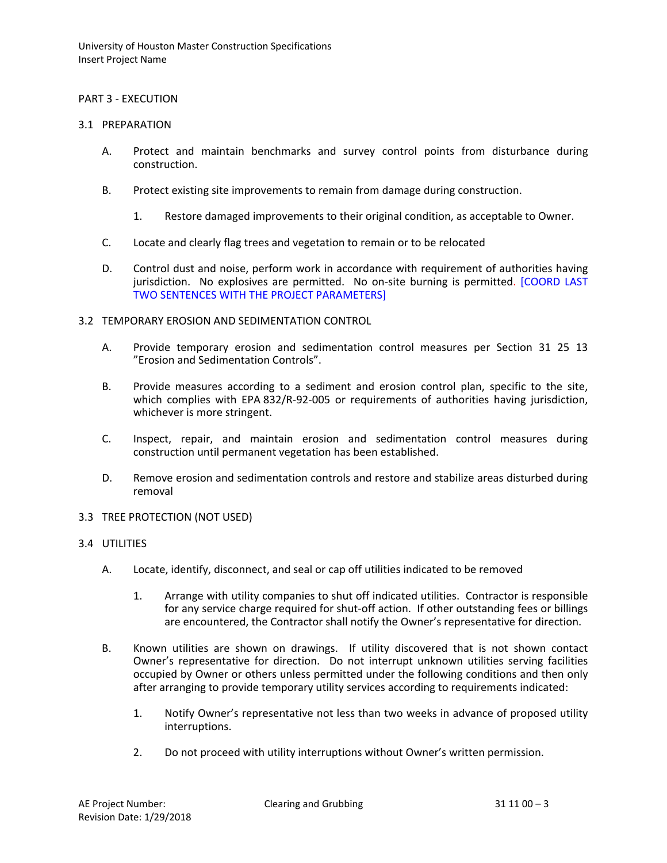### PART 3 - EXECUTION

### 3.1 PREPARATION

- A. Protect and maintain benchmarks and survey control points from disturbance during construction.
- B. Protect existing site improvements to remain from damage during construction.
	- 1. Restore damaged improvements to their original condition, as acceptable to Owner.
- C. Locate and clearly flag trees and vegetation to remain or to be relocated
- D. Control dust and noise, perform work in accordance with requirement of authorities having jurisdiction. No explosives are permitted. No on-site burning is permitted. [COORD LAST TWO SENTENCES WITH THE PROJECT PARAMETERS]

### 3.2 TEMPORARY EROSION AND SEDIMENTATION CONTROL

- A. Provide temporary erosion and sedimentation control measures per Section 31 25 13 "Erosion and Sedimentation Controls".
- B. Provide measures according to a sediment and erosion control plan, specific to the site, which complies with EPA 832/R-92-005 or requirements of authorities having jurisdiction, whichever is more stringent.
- C. Inspect, repair, and maintain erosion and sedimentation control measures during construction until permanent vegetation has been established.
- D. Remove erosion and sedimentation controls and restore and stabilize areas disturbed during removal
- 3.3 TREE PROTECTION (NOT USED)

### 3.4 UTILITIES

- A. Locate, identify, disconnect, and seal or cap off utilities indicated to be removed
	- 1. Arrange with utility companies to shut off indicated utilities. Contractor is responsible for any service charge required for shut-off action. If other outstanding fees or billings are encountered, the Contractor shall notify the Owner's representative for direction.
- B. Known utilities are shown on drawings. If utility discovered that is not shown contact Owner's representative for direction. Do not interrupt unknown utilities serving facilities occupied by Owner or others unless permitted under the following conditions and then only after arranging to provide temporary utility services according to requirements indicated:
	- 1. Notify Owner's representative not less than two weeks in advance of proposed utility interruptions.
	- 2. Do not proceed with utility interruptions without Owner's written permission.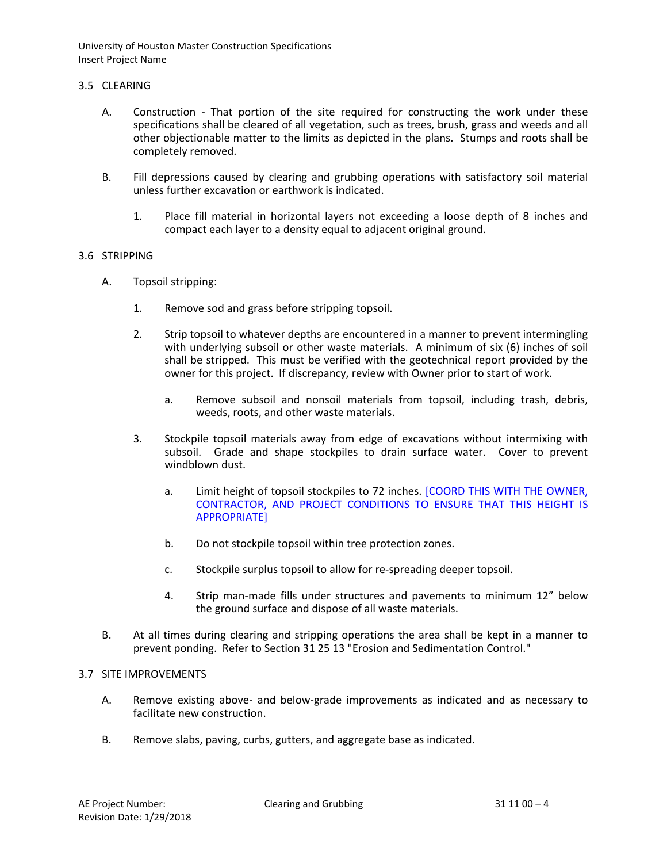### 3.5 CLEARING

- A. Construction That portion of the site required for constructing the work under these specifications shall be cleared of all vegetation, such as trees, brush, grass and weeds and all other objectionable matter to the limits as depicted in the plans. Stumps and roots shall be completely removed.
- B. Fill depressions caused by clearing and grubbing operations with satisfactory soil material unless further excavation or earthwork is indicated.
	- 1. Place fill material in horizontal layers not exceeding a loose depth of 8 inches and compact each layer to a density equal to adjacent original ground.

### 3.6 STRIPPING

- A. Topsoil stripping:
	- 1. Remove sod and grass before stripping topsoil.
	- 2. Strip topsoil to whatever depths are encountered in a manner to prevent intermingling with underlying subsoil or other waste materials. A minimum of six (6) inches of soil shall be stripped. This must be verified with the geotechnical report provided by the owner for this project. If discrepancy, review with Owner prior to start of work.
		- a. Remove subsoil and nonsoil materials from topsoil, including trash, debris, weeds, roots, and other waste materials.
	- 3. Stockpile topsoil materials away from edge of excavations without intermixing with subsoil. Grade and shape stockpiles to drain surface water. Cover to prevent windblown dust.
		- a. Limit height of topsoil stockpiles to 72 inches. [COORD THIS WITH THE OWNER, CONTRACTOR, AND PROJECT CONDITIONS TO ENSURE THAT THIS HEIGHT IS APPROPRIATE]
		- b. Do not stockpile topsoil within tree protection zones.
		- c. Stockpile surplus topsoil to allow for re-spreading deeper topsoil.
		- 4. Strip man-made fills under structures and pavements to minimum 12" below the ground surface and dispose of all waste materials.
- B. At all times during clearing and stripping operations the area shall be kept in a manner to prevent ponding. Refer to Section 31 25 13 "Erosion and Sedimentation Control."

### 3.7 SITE IMPROVEMENTS

- A. Remove existing above- and below-grade improvements as indicated and as necessary to facilitate new construction.
- B. Remove slabs, paving, curbs, gutters, and aggregate base as indicated.